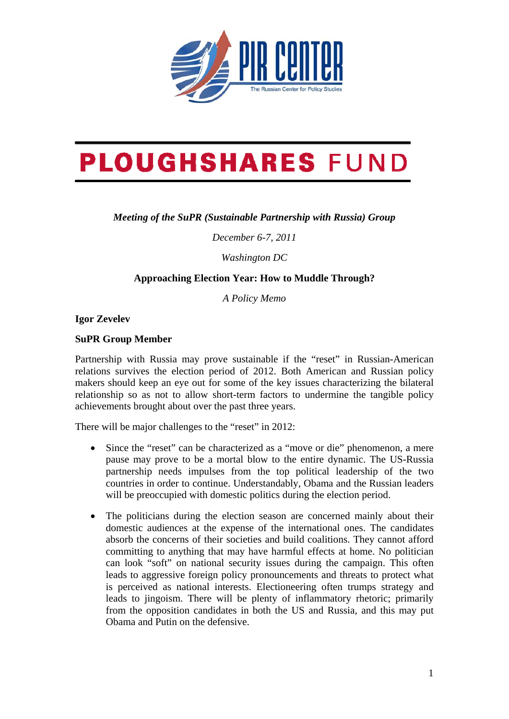

## **PLOUGHSHARES FUND**

## *Meeting of the SuPR (Sustainable Partnership with Russia) Group*

*December 6-7, 2011* 

*Washington DC* 

## **Approaching Election Year: How to Muddle Through?**

*A Policy Memo* 

**Igor Zevelev** 

## **SuPR Group Member**

Partnership with Russia may prove sustainable if the "reset" in Russian-American relations survives the election period of 2012. Both American and Russian policy makers should keep an eye out for some of the key issues characterizing the bilateral relationship so as not to allow short-term factors to undermine the tangible policy achievements brought about over the past three years.

There will be major challenges to the "reset" in 2012:

- Since the "reset" can be characterized as a "move or die" phenomenon, a mere pause may prove to be a mortal blow to the entire dynamic. The US-Russia partnership needs impulses from the top political leadership of the two countries in order to continue. Understandably, Obama and the Russian leaders will be preoccupied with domestic politics during the election period.
- The politicians during the election season are concerned mainly about their domestic audiences at the expense of the international ones. The candidates absorb the concerns of their societies and build coalitions. They cannot afford committing to anything that may have harmful effects at home. No politician can look "soft" on national security issues during the campaign. This often leads to aggressive foreign policy pronouncements and threats to protect what is perceived as national interests. Electioneering often trumps strategy and leads to jingoism. There will be plenty of inflammatory rhetoric; primarily from the opposition candidates in both the US and Russia, and this may put Obama and Putin on the defensive.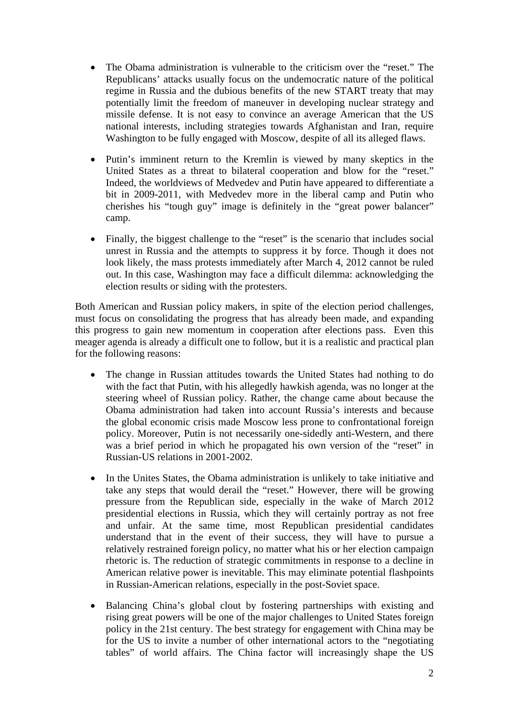- The Obama administration is vulnerable to the criticism over the "reset." The Republicans' attacks usually focus on the undemocratic nature of the political regime in Russia and the dubious benefits of the new START treaty that may potentially limit the freedom of maneuver in developing nuclear strategy and missile defense. It is not easy to convince an average American that the US national interests, including strategies towards Afghanistan and Iran, require Washington to be fully engaged with Moscow, despite of all its alleged flaws.
- Putin's imminent return to the Kremlin is viewed by many skeptics in the United States as a threat to bilateral cooperation and blow for the "reset." Indeed, the worldviews of Medvedev and Putin have appeared to differentiate a bit in 2009-2011, with Medvedev more in the liberal camp and Putin who cherishes his "tough guy" image is definitely in the "great power balancer" camp.
- Finally, the biggest challenge to the "reset" is the scenario that includes social unrest in Russia and the attempts to suppress it by force. Though it does not look likely, the mass protests immediately after March 4, 2012 cannot be ruled out. In this case, Washington may face a difficult dilemma: acknowledging the election results or siding with the protesters.

Both American and Russian policy makers, in spite of the election period challenges, must focus on consolidating the progress that has already been made, and expanding this progress to gain new momentum in cooperation after elections pass. Even this meager agenda is already a difficult one to follow, but it is a realistic and practical plan for the following reasons:

- The change in Russian attitudes towards the United States had nothing to do with the fact that Putin, with his allegedly hawkish agenda, was no longer at the steering wheel of Russian policy. Rather, the change came about because the Obama administration had taken into account Russia's interests and because the global economic crisis made Moscow less prone to confrontational foreign policy. Moreover, Putin is not necessarily one-sidedly anti-Western, and there was a brief period in which he propagated his own version of the "reset" in Russian-US relations in 2001-2002.
- In the Unites States, the Obama administration is unlikely to take initiative and take any steps that would derail the "reset." However, there will be growing pressure from the Republican side, especially in the wake of March 2012 presidential elections in Russia, which they will certainly portray as not free and unfair. At the same time, most Republican presidential candidates understand that in the event of their success, they will have to pursue a relatively restrained foreign policy, no matter what his or her election campaign rhetoric is. The reduction of strategic commitments in response to a decline in American relative power is inevitable. This may eliminate potential flashpoints in Russian-American relations, especially in the post-Soviet space.
- Balancing China's global clout by fostering partnerships with existing and rising great powers will be one of the major challenges to United States foreign policy in the 21st century. The best strategy for engagement with China may be for the US to invite a number of other international actors to the "negotiating tables" of world affairs. The China factor will increasingly shape the US